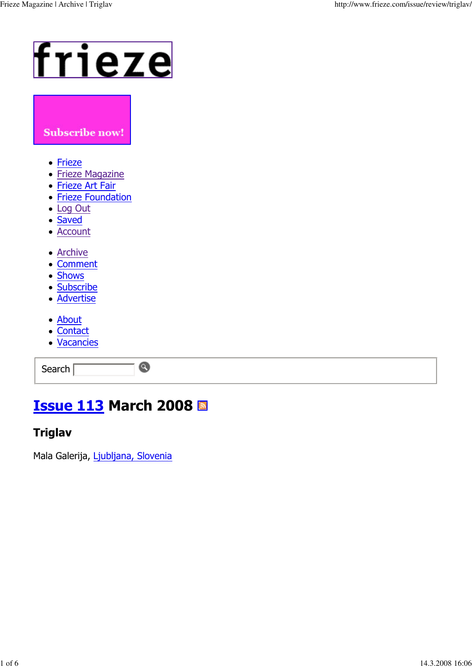# frieze

#### Subscribe now!

- <u>Frieze</u>
- <u>Frieze Magazine</u>
- **Frieze Art Fair**
- **Frieze Foundation**
- Log Out
- Saved
- <u>Account</u>
- <u>Archive</u>
- **Comment**
- Shows
- <u>Subscribe</u>
- <u>Advertise</u>
- About
- <u>Contact</u>
- <u>Vacancies</u>

Search

## <u>Issue 113</u> March 2008

 $\bullet$ 

#### Triglav

Mala Galerija, <u>Ljubljana, Slovenia</u>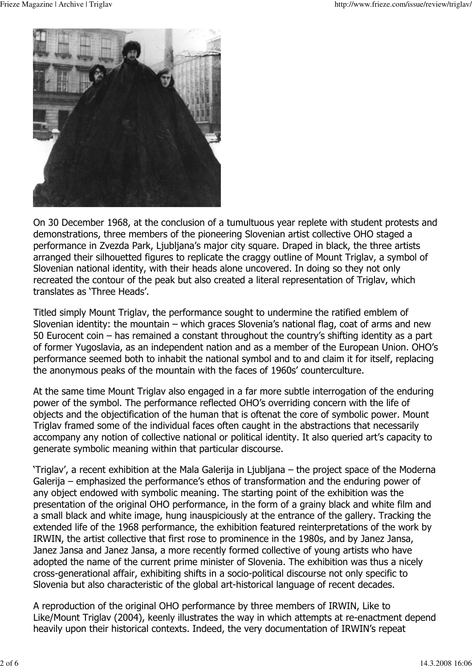

On 30 December 1968, at the conclusion of a tumultuous year replete with student protests and demonstrations, three members of the pioneering Slovenian artist collective OHO staged a performance in Zvezda Park, Ljubljana's major city square. Draped in black, the three artists arranged their silhouetted figures to replicate the craggy outline of Mount Triglay, a symbol of Slovenian national identity, with their heads alone uncovered. In doing so they not only recreated the contour of the peak but also created a literal representation of Triglay, which translates as 'Three Heads'.

Titled simply Mount Triglay, the performance sought to undermine the ratified emblem of Slovenian identity: the mountain - which graces Slovenia's national flag, coat of arms and new 50 Eurocent coin  $-$  has remained a constant throughout the country's shifting identity as a part of former Yugoslavia, as an independent nation and as a member of the European Union. OHO's performance seemed both to inhabit the national symbol and to and claim it for itself, replacing the anonymous peaks of the mountain with the faces of 1960s' counterculture.

At the same time Mount Triglay also engaged in a far more subtle interrogation of the enduring power of the symbol. The performance reflected OHO's overriding concern with the life of objects and the objectification of the human that is oftenat the core of symbolic power. Mount Triglav framed some of the individual faces often caught in the abstractions that necessarily accompany any notion of collective national or political identity. It also queried art's capacity to generate symbolic meaning within that particular discourse.

'Triglav', a recent exhibition at the Mala Galerija in Ljubljana – the project space of the Moderna Galerija – emphasized the performance's ethos of transformation and the enduring power of any object endowed with symbolic meaning. The starting point of the exhibition was the presentation of the original OHO performance, in the form of a grainy black and white film and a small black and white image, hung inauspiciously at the entrance of the gallery. Tracking the extended life of the 1968 performance, the exhibition featured reinterpretations of the work by IRWIN, the artist collective that first rose to prominence in the 1980s, and by Janez Jansa, Janez Jansa and Janez Jansa, a more recently formed collective of young artists who have adopted the name of the current prime minister of Slovenia. The exhibition was thus a nicely cross-generational affair, exhibiting shifts in a socio-political discourse not only specific to Slovenia but also characteristic of the global art-historical language of recent decades.

A reproduction of the original OHO performance by three members of IRWIN, Like to Like/Mount Triglav (2004), keenly illustrates the way in which attempts at re-enactment depend heavily upon their historical contexts. Indeed, the very documentation of IRWIN's repeat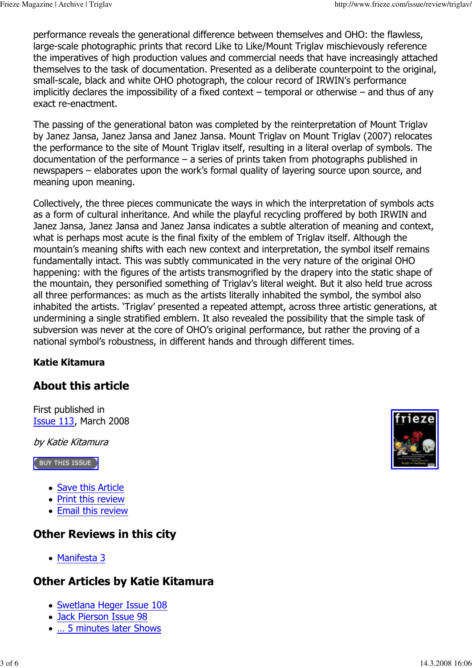performance reveals the generational difference between themselves and OHO: the flawless, large-scale photographic prints that record Like to Like/Mount Triglav mischievously reference the imperatives of high production values and commercial needs that have increasingly attached themselves to the task of documentation. Presented as a deliberate counterpoint to the original, small-scale, black and white OHO photograph, the colour record of IRWIN's performance implicitly declares the impossibility of a fixed context – temporal or otherwise – and thus of any exact re-enactment.

The passing of the generational baton was completed by the reinterpretation of Mount Triglav by Janez Jansa, Janez Jansa and Janez Jansa. Mount Triglay on Mount Triglay (2007) relocates the performance to the site of Mount Triglav itself, resulting in a literal overlap of symbols. The documentation of the performance  $-$  a series of prints taken from photographs published in newspapers – elaborates upon the work's formal quality of layering source upon source, and meaning upon meaning.

Collectively, the three pieces communicate the ways in which the interpretation of symbols acts as a form of cultural inheritance. And while the playful recycling proffered by both IRWIN and Janez Jansa, Janez Jansa and Janez Jansa indicates a subtle alteration of meaning and context, what is perhaps most acute is the final fixity of the emblem of Triglay itself. Although the mountain's meaning shifts with each new context and interpretation, the symbol itself remains fundamentally intact. This was subtly communicated in the very nature of the original OHO happening: with the figures of the artists transmogrified by the drapery into the static shape of the mountain, they personified something of Triglay's literal weight. But it also held true across all three performances: as much as the artists literally inhabited the symbol, the symbol also inhabited the artists. 'Triglay' presented a repeated attempt, across three artistic generations, at undermining a single stratified emblem. It also revealed the possibility that the simple task of subversion was never at the core of OHO's original performance, but rather the proving of a national symbol's robustness, in different hands and through different times.

#### **Katie Kitamura**

## **About this article**

First published in **Issue 113, March 2008** 

by Katie Kitamura

**BUY THIS ISSUE** 

- Save this Article
- Print this review
- Email this review

## **Other Reviews in this city**

• Manifesta 3

## **Other Articles by Katie Kitamura**

- Swetlana Heger Issue 108
- Jack Pierson Issue 98
- ... 5 minutes later Shows

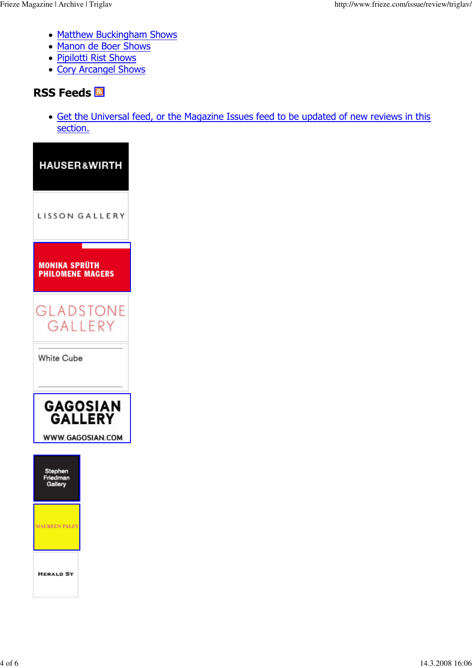- Matthew Buckingham Shows
- Manon de Boer Shows
- Pipilotti Rist Shows
- Cory Arcangel Shows

## **RSS Feeds <b>N**

• Get the Universal feed, or the Magazine Issues feed to be updated of new reviews in this section.

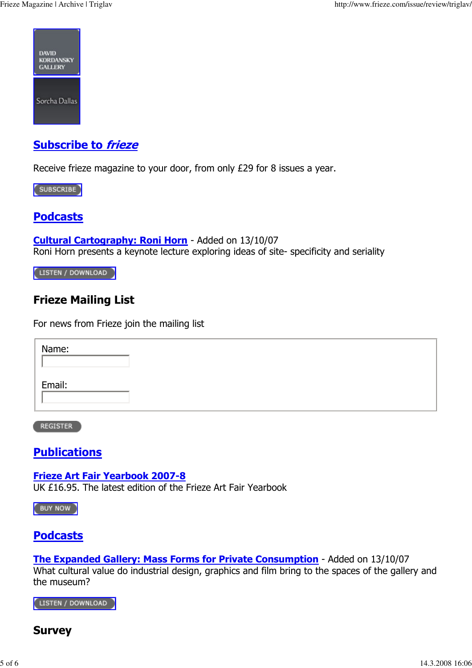

## <u>Subscribe to *frieze*</u>

Receive frieze magazine to your door, from only  $E29$  for 8 issues a year.

SUBSCRIBE

### <u>Podcasts</u>

Cultural Cartography: Roni Horn - Added on 13/10/07 Roni Horn presents a keynote lecture exploring ideas of site- specificity and seriality

[LISTEN / DOWNLOAD ]

## Frieze Mailing List

For news from Frieze join the mailing list

| Name:  |  |  |
|--------|--|--|
| Email: |  |  |

**REGISTER** 

### <u>Publications</u>

<u>Frieze Art Fair Yearbook 2007-8</u> UK £16.95. The latest edition of the Frieze Art Fair Yearbook

BUY NOW

### <u>Podcasts</u>

The Expanded Gallery: Mass Forms for Private Consumption - Added on 13/10/07 What cultural value do industrial design, graphics and film bring to the spaces of the gallery and the museum?

LISTEN / DOWNLOAD

#### Survey